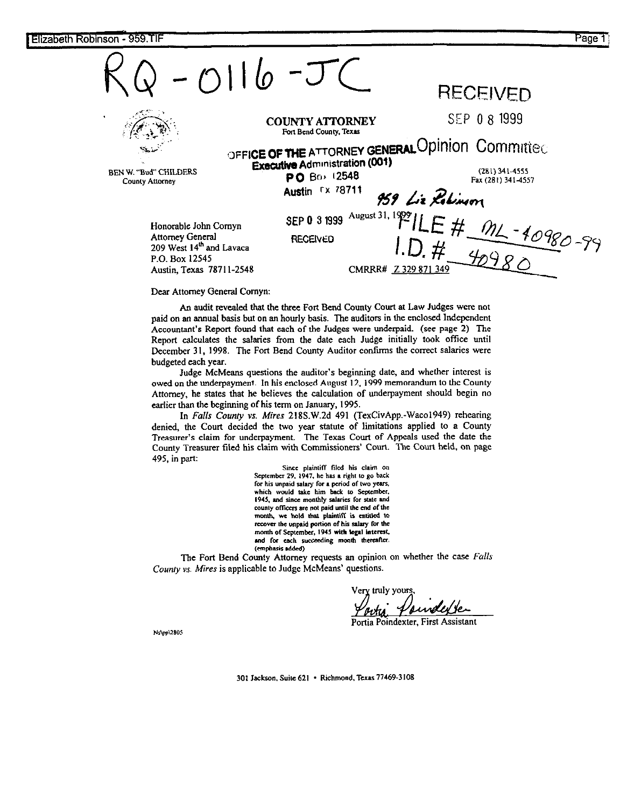| $-0116-J$                                                                                                                       |                                                                                                                               | <b>RECEIVED</b>                                                                                                                |
|---------------------------------------------------------------------------------------------------------------------------------|-------------------------------------------------------------------------------------------------------------------------------|--------------------------------------------------------------------------------------------------------------------------------|
| BEN W. "Bud" CHILDERS<br>County Attorney                                                                                        | <b>COUNTY ATTORNEY</b><br>Fort Bend County, Texas<br><b>Executive Administration (001)</b><br>PO Box 12548<br>Austin Fx 78711 | SEP 0 8 1999<br>OFFICE OF THE ATTORNEY GENERAL Opinion Committed<br>$(281)$ 341-4555<br>Fax (281) 341-4557<br>959 Liz Rolinson |
| Honorable John Cornyn<br>Attorney General<br>209 West 14 <sup>th</sup> and Lavaca<br>P.O. Box 12545<br>Austin, Texas 78711-2548 | SEP 0 3 1999<br><b>RECEIVED</b><br>CMRRR# Z 329 871 349                                                                       | August 31, 1999 ILE # $M-40980-99$                                                                                             |

Dear Attorney General Comyn:

An audit revealed that the three Fort Bend County Court at Law Judges were not paid on an annual basis but on an hourly basis. The auditors in the enclosed Independent Accountant's Report found that each of the Judges were underpaid. (see page 2) The Report calculates the salaries from the date each Judge initially took office until December 31, 1998. The Fort Bend County Auditor confirms the correct salaries were budgeted each year.

Judge McMeans questions the auditor's beginning date, and whether interest is owed on the underpayment. In his enclosed August 12. 1999 memorandum to the County Attorney, he states that he believes the calculation of underpayment should begin no earlier than the beginning of his term on January, 1995.

In Falls County vs. Mires 218S.W.2d 491 (TexCivApp.-Waco1949) rehearing denied, the Court decided the two year statute of limitations applied to a County Treasurer's claim for underpayment. The Texas Court of Appeals used the date the County treasurer filed his claim with Commissioners' Court. The Court held. on page 495, in part:

Since plaintiff filed his claim on<br>September 29, 1947, he has a right to go back for his unpaid salary for a period of two years, which would take him back to September, 1945, and since monthly salaries for state and county officers are not paid until the end of the month, we hold that plaintiff is entitled to recover the unpaid portion of his salary for the month of September, 1945 with legal interest, and for each succeeding month thereafter. (emphasis added)

The Fort Bend County Attorney requests an opinion on whether the case Falls County vs. Mires is applicable to Judge McMeans' questions.

Very truly yours Poinderse

Portia Poindexter, First Assistant

Ns\pp\2805

301 Jackson, Suite 621 · Richmond, Texas 77469-3108